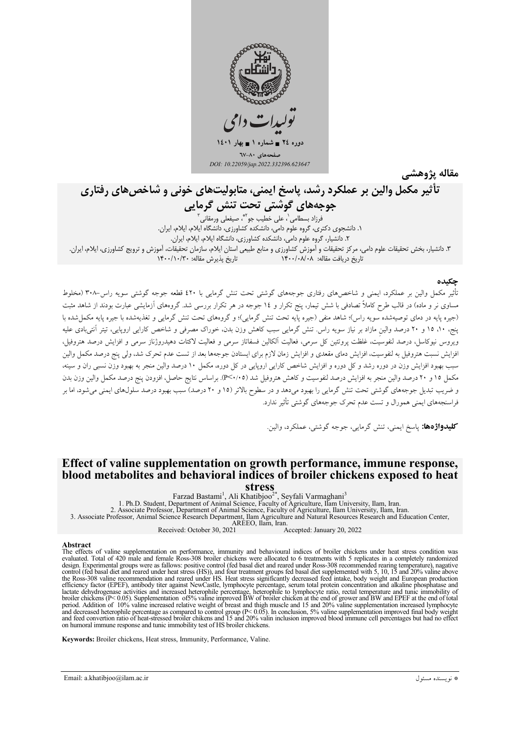

مقاله پژوهشے

# تأثیر مکمل والین بر عملکرد رشد، پاسخ ایمنی، متابولیتهای خونی و شاخص های رفتاری

جوجەھاي گوشتى تحت تنش گرمايى ٢. دانشيار، گروه علوم دامي، دانشكده كشاورزي، دانشگاه ايلام، ايلام، ايران. ۳. دانشیار، بخش تحقیقات علوم دامی، مرکز تحقیقات و آموزش کشاورزی و منابع طبیعی استان ایلام، سازمان تحقیقات، آموزش و ترویج کشاورزی، ایلام، ایران. تاريخ پذيرش مقاله: ١۴٠٠/١٠/٣٠ تاریخ دریافت مقاله: ۱۴۰۰/۰۸/۰۸

### حكىدە

تأثیر مکمل والین بر عملکرد، ایمنی و شاخصهای رفتاری جوجههای گوشتی تحت تنش گرمایی با ٤٢٠ قطعه جوجه گوشتی سویه راس ٣٠٨-٣ (مخلوط مساوی نر و ماده) در قالب طرح کاملاً تصادفی با شش تیمار، پنج تکرار و ١٤ جوجه در هر تکرار بررسی شد. گروههای آزمایشی عبارت بودند از شاهد مثبت (جیره پایه در دمای توصیهشده سویه راس)؛ شاهد منفی (جیره پایه تحت تنش گرمایی)؛ و گروههای تحت تنش گرمایی و تغذیهشده با جیره پایه مکمل شده با پنج، ۱۰، ۱۵ و ۲۰ درصد والین مازاد بر نیاز سویه راس تنش گرمایی سبب کاهش وزن بدن، خوراک مصرفی و شاخص کارایی اروپایی، تیتر آنتی،بادی علیه ويروس نيوكاسل، درصد لنفوسَيت، غلظت پروتئين كل سرمي، فعاليت الكالين فسفاتاز سرمي و فعاليت لاكتات دهيدروژناز سرمي و افزايش درصد هتروفيل، افزایش نسبت هتروفیل به لنفوسیت، افزایش دمای مقعدی و افزایش زمان لازم برای ایستادن جوجهها بعد از تست عدم تحرک شد، ولی پنج درصد مکمل والین سبب بهبود افزایش وزن در دوره رشد و کل دوره و افزایش شاخص کارایی اروپایی در کل دوره، مکمل ۱۰ درصد والین منجر به بهبود وزن نسبی ران و سینه، مکمل ۱۵ و ۲۰ درصد والین منجر به افزایش درصد لنفوسیت و کاهش هتروفیل شد (۴٬۰۰۵). براساس نتایج حاصل، افزودن پنج درصد مکمل والین وزن بدن و ضریب تبدیل جوجههای گوشتی تحت تنش گرمایی را بهبود میدهد و در سطوح بالاتر (۱۵ و ۲۰ درصد) سبب بهبود درصد سلولهای ایمنی میشود، اما بر فراسنجههاي ايمني همورال و تست عدم تحرك جوجههاي گوشتي تأثير ندارد.

کلیدواژهها: پاسخ ایمنی، تنش گرمایی، جوجه گوشتی، عملکرد، والین

## Effect of valine supplementation on growth performance, immune response, blood metabolites and behavioral indices of broiler chickens exposed to heat

Stress<br>Farzad Bastami<sup>1</sup>, Ali Khatibjoo<sup>2\*</sup>, Seyfali Varmaghani<sup>3</sup>

1: at Zau Dastanin , Alexand Joseph Variat Variaginan University, Ilam, Iran.<br>1. Ph.D. Student, Department of Animal Science, Faculty of Agriculture, Ilam University, Ilam, Iran.<br>2. Associate Professor, Animal Science Rese AREEO, Ilam, Iran.<br>Received: October 30, 2021

Accepted: January 20, 2022

#### **Ahstract**

The effects of valine supplementation on performance, immunity and behavioural indices of broiler chickens under heat stress condition was evaluated. Total of 420 male and female Ross-308 broiler chickens were allocated to design. Experimental groups were as fallows: positive control (fed basal diet and reared under Ross-308 recommended rearing temperature), nagative<br>control (fed basal diet and reared under Ross-308 recommended rearing tempe efficiency factor (EPEF), antibody titer against NewCastle, lymphocyte percentage, serum total protein concentration and alkaline phosphatase and Extractively haven (E1 Ly, antiotogy the against vew cassic, impliedly percentage, heterophile to lymphocyte ratio, rectal temperature and tunic immobility of broiler chickens (P< 0.05). Supplementation of 5% valine impro on humoral immune response and tunic immobility test of HS broiler chickens.

Keywords: Broiler chickens, Heat stress, Immunity, Performance, Valine.

Email: a.khatibjoo@ilam.ac.ir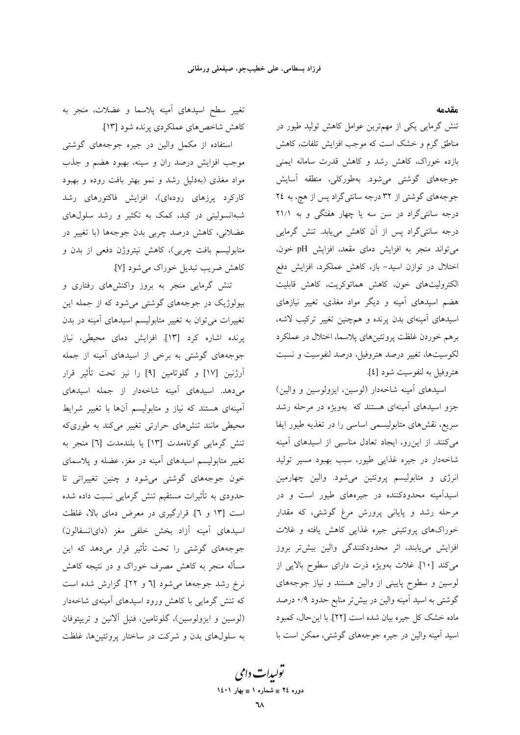مقدمه

تنش گرمایی یکی از مهمترین عوامل کاهش تولید طیور در مناطق گرم و خشک است که موجب افزایش تلفات، کاهش بازده خوراک، کاهش رشد و کاهش قدرت سامانه ایمنی جوجههای گوشتی میشود. بهطورکلی، منطقه آسایش جوجههای گوشتی از ۳۲ درجه سانتیگراد پس از هچ، به ۲٤ درجه سانتیگراد در سن سه یا چهار هفتگی و به ۲۱/۱ درجه سانتیگراد پس از آن کاهش مییابد. تنش گرمایی می تواند منجر به افزایش دمای مقعد، افزایش pH خون، اختلال در توازن اسید- باز، کاهش عملکرد، افزایش دفع الكتروليتهاى خون، كاهش هماتوكريت، كاهش قابليت هضم اسیدهای آمینه و دیگر مواد مغذی، تغییر نیازهای اسیدهای آمینهای بدن پرنده و همچنین تغییر ترکیب لاشه، برهم خوردن غلظت پروتئينهاى پلاسما، اختلال در عملكرد لکوسیتها، تغییر درصد هتروفیل، درصد لنفوسیت و نسبت هتروفيل به لنفوسيت شود [٤].

اسیدهای آمینه شاخهدار (لوسین، ایزولوسین و والین) جزو اسیدهای آمینهای هستند که بهویژه در مرحله رشد سریع، نقشهای متابولیسمی اساسی را در تغذیه طیور ایفا میکنند. از این رو، ایجاد تعادل مناسبی از اسیدهای آمینه شاخهدار در جيره غذايي طيور، سبب بهبود مسير توليد انرژی و متابولیسم پروتئین میشود. والین چهارمین اسیدآمینه محدودکننده در جیرههای طیور است و در مرحله رشد و پایانی پرورش مرغ گوشتی، که مقدار خوراکهای پروتئینی جیره غذایی کاهش یافته و غلات افزایش مییابند، اثر محدودکنندگی والین بیشتر بروز می کند [۱۰]. غلات بهویژه ذرت دارای سطوح بالایی از لوسین و سطوح پایینی از والین هستند و نیاز جوجههای گوشتی به اسید آمینه والین در بیشتر منابع حدود ۰/۹ درصد ماده خشک کل جیره بیان شده است [۲۲]. با این حال، کمبود اسید آمینه والین در جیره جوجههای گوشتی، ممکن است با

تغییر سطح اسیدهای آمینه پلاسما و عضلات، منجر به كاهش شاخصهاي عملكردي پرنده شود [١٣].

استفاده از مکمل والین در جیره جوجههای گوشتی موجب افزایش درصد ران و سینه، بهبود هضم و جذب مواد مغذی (بهدلیل رشد و نمو بهتر بافت روده و بهبود کارکرد پرزهای رودهای)، افزایش فاکتورهای رشد شبهانسولینی در کبد، کمک به تکثیر و رشد سلولهای عضلانی، کاهش درصد چربی بدن جوجهها (با تغییر در متابولیسم بافت چربی)، کاهش نیتروژن دفعی از بدن و كاهش ضريب تبديل خوراك مي شود [٧].

تنش گرمایی منجر به بروز واکنشهای رفتاری و بیولوژیک در جوجههای گوشتی می شود که از جمله این تغییرات می توان به تغییر متابولیسم اسیدهای آمینه در بدن پرنده اشاره کرد [۱۳]. افزایش دمای محیطی، نیاز جوجههای گوشتی به برخی از اسیدهای آمینه از جمله آرژنین [۱۷] و گلوتامین [۹] را نیز تحت تأثیر قرار می دهد. اسیدهای آمینه شاخهدار از جمله اسیدهای آمینهای هستند که نیاز و متابولیسم آنها با تغییر شرایط محیطی مانند تنشهای حرارتی تغییر میکند به طوریکه تنش گرمایی کوتاهمدت [۱۳] یا بلندمدت [٦] منجر به تغییر متابولیسم اسیدهای آمینه در مغز، عضله و پلاسمای خون جوجههای گوشتی میشود و چنین تغییراتی تا حدودی به تأثیرات مستقیم تنش گرمایی نسبت داده شده است [۱۳ و ٦]. قرارگیری در معرض دمای بالا، غلظت اسیدهای آمینه آزاد بخش خلفی مغز (دایانسفالون) جوجههای گوشتی را تحت تأثیر قرار میدهد که این مسأله منجر به كاهش مصرف خوراك و در نتيجه كاهش نرخ رشد جوجهها می شود [٦ و ٢٢]. گزارش شده است که تنش گرمایی با کاهش ورود اسیدهای آمینهی شاخهدار (لوسین و ایزولوسین)، گلوتامین، فنیل آلانین و تریپتوفان به سلولهای بدن و شرکت در ساختار پروتئینها، غلظت

تو*لیدات دامی* دوره ٢٤ = شماره ١ = بهار ١٤٠١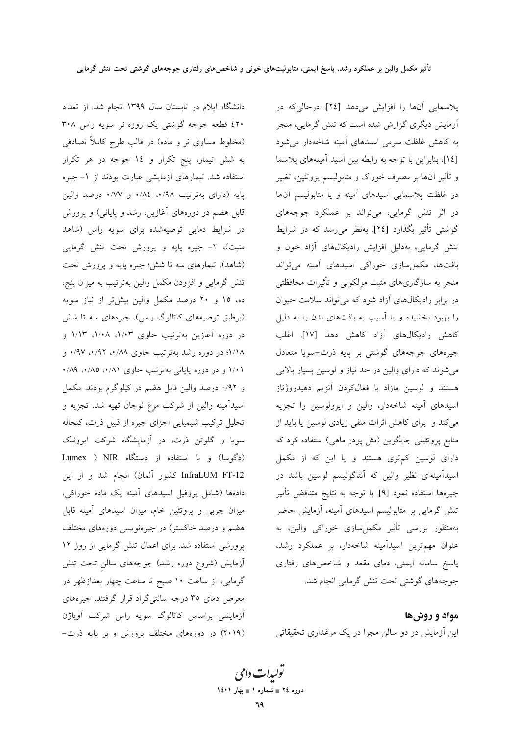دانشگاه ایلام در تابستان سال ۱۳۹۹ انجام شد. از تعداد ٤٢٠ قطعه جوجه گوشتی يک روزه نر سويه راس ٣٠٨ (مخلوط مساوی نر و ماده) در قالب طرح کاملاً تصادفی به شش تیمار، پنج تکرار و ١٤ جوجه در هر تکرار استفاده شد. تیمارهای آزمایشی عبارت بودند از ۱– جیره پایه (دارای بهترتیب ۰/۸۹، ۰/۸٤، و ۰/۷۷ درصد والین قابل هضم در دورههای آغازین، رشد و پایانی) و پرورش در شرایط دمایی توصیهشده برای سویه راس (شاهد مثبت)، ۲- جیره پایه و پرورش تحت تنش گرمایی (شاهد)، تیمارهای سه تا شش؛ جیره پایه و پرورش تحت تنش گرمایی و افزودن مکمل والین بهترتیب به میزان پنج، ده، ۱۵ و ۲۰ درصد مکمل والین بیش تر از نیاز سویه (برطبق توصیههای کاتالوگ راس). جیرههای سه تا شش در دوره آغازین بهترتیب حاوی ۱/۰۳، ۱/۰۸، ۱/۱۳ و ۰۱/۱۸؛ در دوره رشد بهترتیب حاوی ۰/۹۲، ۰/۹۲، ۰/۹۷ ۰/۸۱ و در دوره پایانی بهترتیب حاوی ۰/۸۱، ۰/۸۵، ۰/۸۹ و ۰/۹۲ درصد والین قابل هضم در کیلوگرم بودند. مکمل اسيدآمينه والين از شركت مرغ نوجان تهيه شد. تجزيه و تحلیل ترکیب شیمیایی اجزای جیره از قبیل ذرت، کنجاله سویا و گلوتن ذرت، در آزمایشگاه شرکت ایوونیک (دگوسا) و با استفاده از دستگاه Lumex ) NIR InfraLUM FT-12 كشور آلمان) انجام شد و از اين دادهها (شامل پروفیل اسیدهای آمینه یک ماده خوراکی، میزان چربی و پروتئین خام، میزان اسیدهای آمینه قابل هضم و درصد خاکستر) در جیرهنویسی دورههای مختلف پرورشی استفاده شد. برای اعمال تنش گرمایی از روز ۱۲ آزمایش (شروع دوره رشد) جوجههای سالن تحت تنش گرمایی، از ساعت ۱۰ صبح تا ساعت چهار بعدازظهر در معرض دمای ۳۵ درجه سانتیگراد قرار گرفتند. جیرههای آزمایشی براساس کاتالوگ سویه راس شرکت آویاژن (۲۰۱۹) در دورههای مختلف پرورش و بر پایه ذرت-

پلاسمایی آنها را افزایش میدهد [٢٤]. درحالیکه در آزمایش دیگری گزارش شده است که تنش گرمایی، منجر به کاهش غلظت سرمی اسیدهای آمینه شاخهدار می شود [١٤]، بنابراین با توجه به رابطه بین اسید آمینههای پلاسما و تأثیر آنها بر مصرف خوراک و متابولیسم پروتئین، تغییر در غلظت پلاسمایی اسیدهای آمینه و یا متابولیسم آنها در اثر تنش گرمایی، می تواند بر عملکرد جوجههای گوشتی تأثیر بگذارد [٢٤]. بهنظر می رسد که در شرایط تنش گرمایی، بهدلیل افزایش رادیکالهای آزاد خون و بافتها، مکمل سازی خوراکی اسیدهای آمینه می تواند منجر به سازگاریهای مثبت مولکولی و تأثیرات محافظتی در برابر رادیکال های آزاد شود که می تواند سلامت حیوان را بهبود بخشیده و یا آسیب به بافتهای بدن را به دلیل كاهش راديكال هاي آزاد كاهش دهد [١٧]. اغلب جیرههای جوجههای گوشتی بر پایه ذرت-سویا متعادل می شوند که دارای والین در حد نیاز و لوسین بسیار بالایی هستند و لوسین مازاد با فعالکردن آنزیم دهیدروژناز اسیدهای آمینه شاخهدار، والین و ایزولوسین را تجزیه می کند و برای کاهش اثرات منفی زیادی لوسین یا باید از منابع پروتئینی جایگزین (مثل پودر ماهی) استفاده کرد که دارای لوسین کمتری هستند و یا این که از مکمل اسیدآمینهای نظیر والین که آنتاگونیسم لوسین باشد در جيرهها استفاده نمود [٩]. با توجه به نتايج متناقض تأثير تنش گرمایی بر متابولیسم اسیدهای آمینه، آزمایش حاضر بهمنظور بررسی تأثیر مکملسازی خوراکی والین، به عنوان مهمترین اسیدآمینه شاخهدار، بر عملکرد رشد، پاسخ سامانه ایمنی، دمای مقعد و شاخصهای رفتاری جوجههای گوشتی تحت تنش گرمایی انجام شد.

مواد و روش ها این آزمایش در دو سالن مجزا در یک مرغداری تحقیقاتی

تو*لیدات دامی* دوره ٢٤ = شماره ١ = بهار ١٤٠١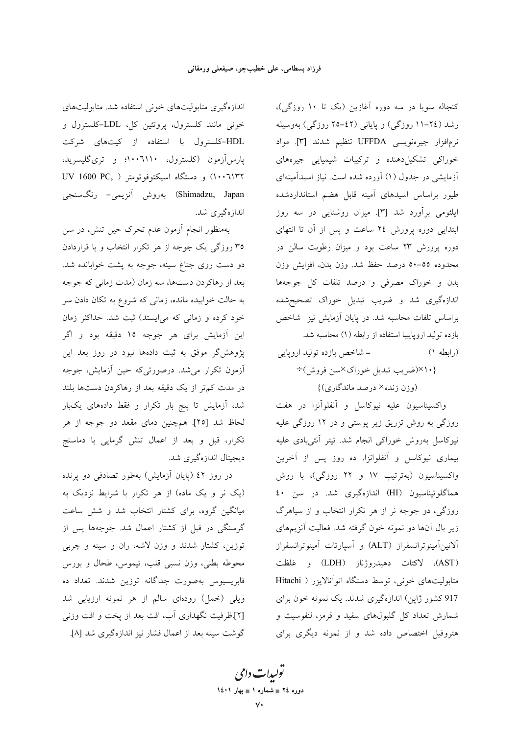کنجاله سویا در سه دوره آغازین (یک تا ۱۰ روزگی)، رشد (٢٤-١١ روزگی) و پایانی (٤٢-٢٥ روزگی) بهوسیله نرمافزار جيرەنويسى UFFDA تنظيم شدند [٣]. مواد خوراکی تشکیل دهنده و ترکیبات شیمیایی جیرههای آزمایشی در جدول (۱) آورده شده است. نیاز اسپدآمینهای طیور براساس اسیدهای آمینه قابل هضم استانداردشده ایلئومی برآورد شد [۳]. میزان روشنایی در سه روز ابتدایی دوره پرورش ٢٤ ساعت و پس از آن تا انتهای دوره پرورش ۲۳ ساعت بود و میزان رطوبت سالن در محدوده ٥٥–٥٠ درصد حفظ شد. وزن بدن، افزايش وزن بدن و خوراک مصرفی و درصد تلفات کل جوجهها اندازهگیری شد و ضریب تبدیل خوراک تصحیحشده براساس تلفات محاسبه شد. در پایان آزمایش نیز شاخص بازده توليد اروياييبا استفاده از رابطه (١) محاسبه شد. = شاخص بازده تولید اروپایی (رابطه ۱)

{۱۰}×(ضريب تبديل خوراك×سن فروش)÷

(وزن زنده× درصد ماندگاري)}

واكسيناسيون عليه نيوكاسل و أنفلوأنزا در هفت روزگی به روش تزریق زیر پوستی و در ۱۲ روزگی علیه نیوکاسل بهروش خوراکی انجام شد. تیتر آنتیبادی علیه بیماری نیوکاسل و آنفلوانزا، ده روز پس از آخرین واکسیناسیون (بهترتیب ١٧ و ٢٢ روزگی)، با روش هماگلوتیناسیون (HI) اندازهگیری شد. در سن ٤٠ روزگی، دو جوجه نر از هر تکرار انتخاب و از سیاهرگ زیر بال آنها دو نمونه خون گرفته شد. فعالیت آنزیمهای آلانين آمينوترانسفراز (ALT) و آسپارتات آمينوترانسفراز (AST)، لاكتات دهيدروژناز (LDH) و غلظت متابولیتهای خونی، توسط دستگاه اتوآنالایزر ( Hitachi 917 کشور ژاپن) اندازهگیری شدند. یک نمونه خون برای شمارش تعداد کل گلبولهای سفید و قرمز، لنفوسیت و هتروفیل اختصاص داده شد و از نمونه دیگری برای

اندازهگیری متابولیتهای خونی استفاده شد. متابولیتهای خونی مانند کلسترول، پروتئین کل، LDL-کلسترول و HDL-کلسترول با استفاده از کیتهای شرکت پارس آزمون (کلسترول، ۱۰۰٦۱۱۰؛ و تریگلیسرید، ۱۰۰٦۱۳۲) و دستگاه اسپکتوفوتومتر ( ,UV 1600 PC Shimadzu, Japan) بەروش آنزیمی- رنگسنجی اندازهگیری شد.

بهمنظور انجام أزمون عدم تحرك حين تنش، در سن ۳۵ روزگی یک جوجه از هر تکرار انتخاب و با قراردادن دو دست روی جناغ سینه، جوجه به یشت خوابانده شد. بعد از رهاکردن دستها، سه زمان (مدت زمانی که جوجه به حالت خوابیده مانده، زمانی که شروع به تکان دادن سر خود کرده و زمانی که می|یستد) ثبت شد. حداکثر زمان این آزمایش برای هر جوجه ۱۵ دقیقه بود و اگر پژوهش گر موفق به ثبت دادهها نبود در روز بعد این آزمون تکرار میشد. درصورتیکه حین آزمایش، جوجه در مدت کم تر از یک دقیقه بعد از رهاکردن دستها بلند شد، آزمایش تا پنج بار تکرار و فقط دادههای یکبار لحاظ شد [۲۵]. همچنین دمای مقعد دو جوجه از هر تکرار، قبل و بعد از اعمال تنش گرمایی با دماسنج ديجيتال اندازهگيري شد.

در روز ٤٢ (پايان آزمايش) بهطور تصادفي دو پرنده (یک نر و یک ماده) از هر تکرار با شرایط نزدیک به میانگین گروه، برای کشتار انتخاب شد و شش ساعت گرسنگی در قبل از کشتار اعمال شد. جوجهها پس از توزین، کشتار شدند و وزن لاشه، ران و سینه و چربی محوطه بطني، وزن نسبي قلب، تيموس، طحال و بورس فابریسیوس بهصورت جداگانه توزین شدند. تعداد ده ویلی (خمل) رودهای سالم از هر نمونه ارزیابی شد [۲] ظرفیت نگهداری آب، افت بعد از یخت و افت وزنبی گوشت سینه بعد از اعمال فشار نیز اندازهگیری شد [۸].

تو*لیدات دامی* دوره ٢٤ = شماره ١ = بهار ١٤٠١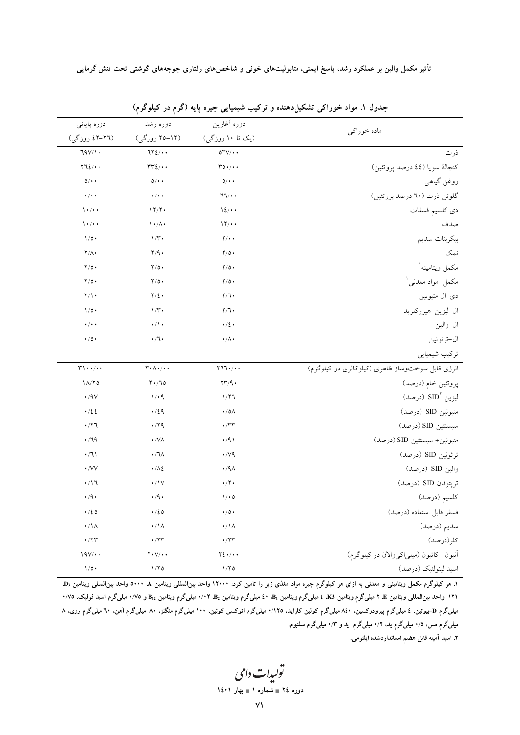| ماده خوراكي                                      | دوره أغازين                         | دوره رشد                                                                     | دوره پایانی                                                        |
|--------------------------------------------------|-------------------------------------|------------------------------------------------------------------------------|--------------------------------------------------------------------|
|                                                  | (یک تا ۱۰ روزگی)                    | (۱۲–۲۵ روزگی)                                                                | (٢٦-٤٢ روزگي)                                                      |
| ذرت                                              | $\circ \text{r} \vee / \cdot \cdot$ | $772/$ .                                                                     | 79V/1                                                              |
| كنجالة سويا (٤٤ درصد پروتئين)                    | $r \circ \cdot / \cdot$             | $rrr_{\ell}/\cdots$                                                          | $772/$ .                                                           |
| روغن گیاهی                                       | $0/$ .                              | $0/$ .                                                                       | $0/$ .                                                             |
| گلوتن ذرت (٦٠ درصد پروتئين)                      | $77/$ .                             | $\cdot/\cdot$                                                                | $\cdot/\cdot$                                                      |
| دى كلسيم فسفات                                   | 12/4                                | 17/7                                                                         | $\lambda$ + / + +                                                  |
| صدف                                              | 11/4                                | $\mathcal{N} \cdot / \Lambda$                                                | $\lambda \cdot / \cdot$                                            |
| بيكربنات سديم                                    | $Y/\cdot$                           | $1/\mathfrak{r}$                                                             | $1/\circ \cdot$                                                    |
| نمک                                              | $Y/\circ \cdot$                     | $Y/9$ .                                                                      | $Y/\Lambda$                                                        |
| مكمل ويتامينه`                                   | $Y/O$ .                             | $Y/O$ .                                                                      | $Y/O$ .                                                            |
| مكمل مواد معدني'                                 | $Y/\circ \cdot$                     | $Y/\circ \cdot$                                                              | $Y/O$ .                                                            |
| دي⊣ل متيونين                                     | Y/T                                 | $Y/\xi$ .                                                                    | $Y/\lambda$                                                        |
| ال-ليزين-هيروكلريد                               | Y/T                                 | $1/\tilde{r}$                                                                | $1/\circ \cdot$                                                    |
| ال-والين                                         | $\cdot/2$                           | $\cdot/\wedge \cdot$                                                         | $\cdot$ / $\cdot$ $\cdot$                                          |
| ال-ترئونين                                       | $\cdot/\Lambda$                     | ۰/٦۰                                                                         | $\cdot$ /0 $\cdot$                                                 |
| تركيب شيميايي                                    |                                     |                                                                              |                                                                    |
| انرژی قابل سوختوساز ظاهری (کیلوکالری در کیلوگرم) | $Y97.$ / $\cdot$                    | $\mathbf{r}\cdot \mathbf{A}\cdot \mathbf{A}\cdot \mathbf{A}\cdot \mathbf{A}$ | $\mathbf{r}\cdot\cdot\mathbf{r}$                                   |
| پروتئين خام (درصد)                               | $\tau\tau/q.$                       | $Y \cdot /70$                                                                | $1\Lambda/T$ 0                                                     |
| ليزين SID <sup>۲</sup> (درصد)                    | 1/77                                | 1/4                                                                          | $\cdot$ /9 $\vee$                                                  |
| متيونين SID (درصد)                               | $\cdot$ /0 $\wedge$                 | $\cdot/29$                                                                   | .722                                                               |
| سيستئين SID (درصد)                               | $\cdot$ / $\tau$ r                  | $\cdot$ /۲۹                                                                  | $\cdot$ /۲٦                                                        |
| متيونين+ سيستئين SID (درصد)                      | $\cdot$ /9)                         | $\cdot$ /VA                                                                  | $\cdot$ /79                                                        |
| ترئونين SID (درصد)                               | $\cdot$ / $\vee$ 9                  | $\cdot / \sqrt{2}$                                                           | $\cdot/71$                                                         |
| والين SID (درصد)                                 | $\cdot$ /9 $\wedge$                 | $\cdot/\lambda$                                                              | $\cdot$ /VV                                                        |
| تريتوفان SID (درصد)                              | $\cdot$ /٢٠                         | $\cdot/\mathrm{V}$                                                           | $\cdot/17$                                                         |
| كلسيم (درصد)                                     | 1/0                                 | $\cdot$ /9 $\cdot$                                                           | $\cdot$ /9 $\cdot$                                                 |
| فسفر قابل استفاده (درصد)                         | $\bullet$ / 0 $\bullet$             | $\cdot/20$                                                                   | $\cdot/20$                                                         |
| سديم (درصد)                                      | $\cdot/\backslash\Lambda$           | $\cdot/\backslash\Lambda$                                                    | $\cdot/\backslash\Lambda$                                          |
| كلر(درصد)                                        | $\cdot$ /۲۳                         | $\cdot$ /۲۳                                                                  | $\boldsymbol{\cdot} / \boldsymbol{\Upsilon} \boldsymbol{\Upsilon}$ |
| أنيون- كاتيون (ميلياكيوالان در كيلوگرم)          | $Y\Sigma$                           | $Y \cdot V / \cdot \cdot$                                                    | 19V/                                                               |
| اسيد لينولئيک (درصد)                             | 1/70                                | 1/70                                                                         | $1/\circ \cdot$                                                    |
|                                                  |                                     |                                                                              |                                                                    |

جدول ۱. مواد خوراکی تشکیلدهنده و ترکیب شیمیایی جیره پایه (گرم در کیلوگرم)

۰۱ هر کیلوگرم مکمل ویتامینی و معدنی به ازای هر کیلوگرم جیره مواد مغذی زیر را تامین کرد: ۱۲۰۰۰ واحدا بین ها ۵۰۰۰ واحد بین|لمللی ویتامین ۵٫ ۱۲۱ واحد بین المللی ویتامین E، ۲ میلیگرم ویتامین K3، ٤ میلیگرم ویتامین B، ۷۰۲، B، به گرم ویتامین B، و ۰/۷۵ میلیگرم اسید فولیک، ۰/۷۵ میلیگرم D-بیوتین، ٤ میلیگرم پیرودوکسین. ۸٤٠ میلیگرم کولین کلراید. ١٢٥/٠ میلیگرم اتوکسی کوئین. ١٠، میلیگرم آهن ٦٠ میلیگرم روی. ٨ میلیگرم مس، ۰/۵ میلیگرم ید. ۰/۲ میلیگرم ید و ۰/۳ میلیگرم سلنیوم.

۲. اسید آمینه قابل هضم استانداردشده ایلئومی.

تولیدات دامی دوره ٢٤ = شماره ١ = بهار ١٤٠١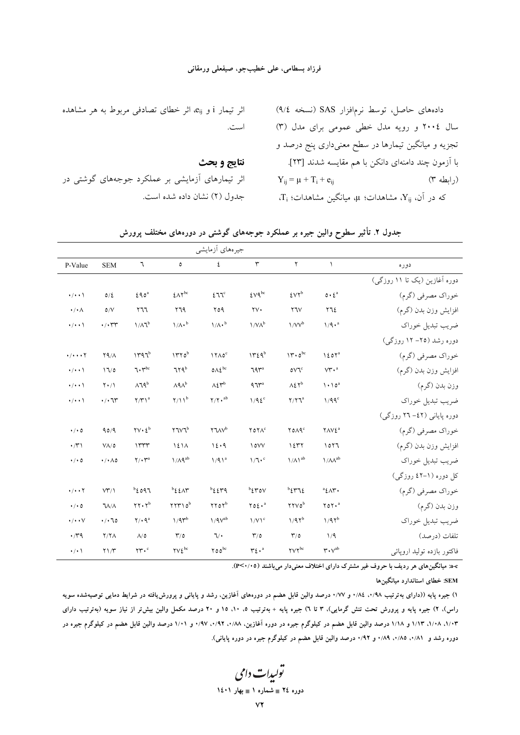#### فرزاد بسطامي، على خطيبجو، صيفعلي ورمقاني

|                                    |                              |                                                       |                                   | جيرههاي أزمايشي                            |                                     |                                                  |                                      |                              |
|------------------------------------|------------------------------|-------------------------------------------------------|-----------------------------------|--------------------------------------------|-------------------------------------|--------------------------------------------------|--------------------------------------|------------------------------|
| P-Value                            | <b>SEM</b>                   | ٦                                                     | $\mathsf{o}\,$                    | ٤                                          | $\mathbf{\breve{r}}$                | $\mathsf{Y}$                                     | $\lambda$                            | دوره                         |
|                                    |                              |                                                       |                                   |                                            |                                     |                                                  |                                      | دوره آغازین (یک تا ۱۱ روزگی) |
| $\cdot/\cdot\cdot$                 | 0/2                          | 290 <sup>a</sup>                                      | $2\Lambda\Upsilon^{bc}$           | 277c                                       | $2Vq^{bc}$                          | 5V <sup>b</sup>                                  | $0 \cdot 2^a$                        | خوراک مصرفی (گرم)            |
| $\cdot / \cdot \wedge$             | $\delta/V$                   | 111                                                   | Y79                               | 09                                         | $\gamma v$ .                        | $Y\gamma V$                                      | ٢٦٤                                  | افزايش وزن بدن (گرم)         |
| $\cdot$ / $\cdot$                  | $\cdot$ / $\cdot$ rr         | $1/\lambda T^b$                                       | $1/\Lambda \cdot b$               | $1/A \cdot b$                              | $1/V\Lambda^b$                      | $1/VV^b$                                         | $1/9 \cdot a$                        | ضريب تبديل خوراك             |
|                                    |                              |                                                       |                                   |                                            |                                     |                                                  |                                      | دوره رشد (۲۵– ۱۲ روزگی)      |
| $\cdot/\cdot\cdot\cdot$ $\Upsilon$ | Y9/A                         | 1447                                                  | $1770^b$                          | $17A0^c$                                   | 1729 <sup>b</sup>                   | $11.0^{bc}$                                      | 120 <sup>7</sup>                     | خوراک مصرفی (گرم)            |
| $\cdot$ / $\cdot$ \                | 17/0                         | $7.7^{bc}$                                            | 7rqb                              | $0\Lambda\xi^{bc}$                         | ٦٩٣ <sup>a</sup>                    | oV1c                                             | $V^{\prime\prime}$ . <sup>a</sup>    | افزايش وزن بدن (گرم)         |
| $\cdot$ / $\cdot$                  | $Y \cdot / Y$                | $\Lambda$ 19 <sup>b</sup>                             | $\Lambda$ ۹ $\Lambda$ b           | $\Lambda\mathfrak{L} \mathfrak{r}^{\rm b}$ | 97 <sup>4</sup>                     | $\Lambda \xi \, \Upsilon^b$                      | $\lambda \cdot \lambda$ <sup>a</sup> | وزن بدن (گرم)                |
| $\cdot$ / $\cdot$                  | $\cdot/\cdot$ ٦٣             | $Y/Y$ <sup>a</sup>                                    | $\gamma/\gamma b$                 | $Y/Y \cdot$ <sup>ab</sup>                  | $1/9\xi$ <sup>c</sup>               | $Y/YZ^a$                                         | $1/99^c$                             | ضريب تبديل خوراك             |
|                                    |                              |                                                       |                                   |                                            |                                     |                                                  |                                      | دوره پایانی (٤٢- ٢٦ روزگی)   |
| $\cdot$ / $\cdot$ 0                | 90/9                         | $\mathbf{Y} \mathbf{V} \cdot \mathbf{L}^{\mathbf{b}}$ | <b>TIVI</b> <sup>b</sup>          | $YUV^b$                                    | $Y$ <sup>o</sup> $Y$ <sup>c</sup>   | <b>YOA9</b> c                                    | <b>YAVE</b> <sup>a</sup>             | خوراک مصرفی (گرم)            |
| $\cdot$ / $\uparrow$ \             | $V\Lambda/\delta$            | 11.44                                                 | 121A                              | 12.9                                       | 1 OVV                               | 1277                                             | 1017                                 | افزايش وزن بدن (گرم)         |
| $\cdot$ / $\cdot$ 0                | $\cdot$ / $\cdot$ $\wedge$ 0 | $\Upsilon/\cdot \Upsilon^a$                           | $1/\Lambda$ 9ab                   | 1/91 <sup>a</sup>                          | $1/7 \cdot c$                       | $\mathcal{N}/\mathcal{N}^{\mathrm{ab}}$          | $1/\lambda\Lambda^{ab}$              | ضريب تبديل خوراك             |
|                                    |                              |                                                       |                                   |                                            |                                     |                                                  |                                      | کل دوره (۱-۶۲ روزگی)         |
| $\cdot/\cdot\cdot$ $\cdot$ $\cdot$ | VT/1                         | $^{\rm b}$ 2097                                       | $^{\rm b}$ { $\lambda$ $\uparrow$ | $^{\rm b}$ { $\zeta$ $\uparrow$ 9          | $^{\rm b}$ <i>k</i> $^{\rm c}$      | $\mathfrak{b}$ { $\mathfrak{r}$ $\mathfrak{r}$ { | $^a$ ٤ $\wedge$ ٣.                   | خوراک مصرفی (گرم)            |
| $\cdot$ / $\cdot$ 0                | <b>JA/A</b>                  | $\gamma \gamma \cdot \gamma^b$                        | $YYYY0^b$                         | <b>TYOY</b> b                              | $\gamma$ o $\xi \cdot$ <sup>a</sup> | <b>YYVO</b> b                                    | $\gamma$                             | وزن بدن (گرم)                |
| $\cdot/\cdot\cdot\vee$             | . / .70                      | $Y \cdot 9^a$                                         | $1/9r^b$                          | $1/9V^{ab}$                                | $1/V1^c$                            | $1/97^b$                                         | 1/97 <sup>b</sup>                    | ضريب تبديل خوراك             |
| $\cdot$ rq                         | Y/Y                          | $\Lambda/\mathfrak{0}$                                | $\mathbf{r}/\mathbf{0}$           | $\sqrt{\cdot}$                             | $\mathbf{r}/\mathbf{0}$             | $\mathbf{r}/\mathbf{0}$                          | 1/9                                  | تلفات (درصد)                 |
| $\cdot$ / $\cdot$ \                | $Y\setminus Y$               | $\mathbf{y}$ .                                        | $\gamma \gamma \xi^{bc}$          | $\gamma$ 00 $\circ$                        | $r_{\xi}$ .                         | $\gamma \gamma^{bc}$                             | $\mathbf{r} \cdot \mathbf{v}^{ab}$   | فاكتور بازده توليد اروپائي   |

جدول ۲. تأثیر سطوح والین جیره بر عملکرد جوجههای گوشتی در دورههای مختلف پرورش

a-c: میانگینهای هر ردیف با حروف غیر مشترک دارای اختلاف معنی دار می باشند (P<۰/۰۵).

## SEM: خطای استاندارد میانگینها

۱) جیره پایه ((دارای بهترتیب ۰/۹۸، ۱/۸۶ و ۰/۷۷ درصد والین قابل هضم در دورههای آغازین، رشد و پایانی و پرورش،یافته در شرایط دمایی توصیهشده سویه راس)، ۲) جیره پایه و پرورش تحت تنش گرمایی)، ۳ تا ۱) جیره پایه + بهترتیب ۵، ۱۰، ۱۵ و ۲۰ درصد مکمل والین بیش تر از نیاز سویه (بهترتیب دارای ۱/۰۳، ۱/۱۸، ۱/۱۳ و ۱/۱۸ درصد والین قابل هضم در کیلوگرم جیره در دوره آغازین، ۱/۸۸، ۱/۹۲، ۱/۹۷، و ۱/۰۱ درصد والین قابل هضم در کیلوگرم جیره در دوره رشد و ۸۱٪۰، ۰/۸۵، ۰/۸۹ و ۰/۹۲ درصد والین قابل هضم در کیلوگرم جیره در دوره پایانی).

تولیدات دامی دوره ٢٤ = شماره ١ = بهار ١٤٠١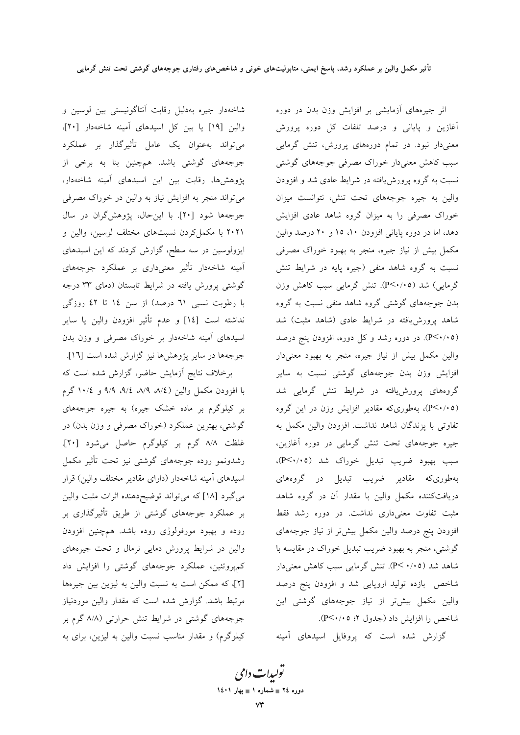شاخهدار جیره بهدلیل رقابت آنتاگونیستی بین لوسین و والين [١٩] يا بين كل اسيدهاى آمينه شاخهدار [٢٠]، میتواند بهعنوان یک عامل تأثیرگذار بر عملکرد جوجههای گوشتی باشد. همچنین بنا به برخی از پژوهشها، رقابت بین این اسیدهای آمینه شاخهدار، می تواند منجر به افزایش نیاز به والین در خوراک مصرفی جوجهها شود [۲۰]. با این حال، پژوهشگران در سال ۲۰۲۱ با مکمل کردن نسبتهای مختلف لوسین، والین و ایزولوسین در سه سطح، گزارش کردند که این اسیدهای آمینه شاخهدار تأثیر معنیداری بر عملکرد جوجههای گوشتی پرورش یافته در شرایط تابستان (دمای ۳۳ درجه با رطوبت نسبی ٦١ درصد) از سن ١٤ تا ٤٢ روزگی نداشته است [١٤] و عدم تأثير افزودن والين يا ساير اسیدهای آمینه شاخهدار بر خوراک مصرفی و وزن بدن جوجهها در سایر پژوهشها نیز گزارش شده است [۱٦].

برخلاف نتایج أزمایش حاضر، گزارش شده است که با افزودن مکمل والین (۸/٤، ۹/۹، ۹/٤، ۹/۹ و ۱۰/٤ گرم بر کیلوگرم بر ماده خشک جیره) به جیره جوجههای گوشتی، بهترین عملکرد (خوراک مصرفی و وزن بدن) در غلظت ٨/٨ گرم بر کیلوگرم حاصل می شود [٢٠]. رشدونمو روده جوجههای گوشتی نیز تحت تأثیر مکمل اسیدهای آمینه شاخهدار (دارای مقادیر مختلف والین) قرار می گیرد [۱۸] که می تواند توضیحدهنده اثرات مثبت والین بر عملکرد جوجههای گوشتی از طریق تأثیرگذاری بر روده و بهبود مورفولوژی روده باشد. همچنین افزودن والین در شرایط پرورش دمایی نرمال و تحت جیرههای کمپروتئین، عملکرد جوجههای گوشتی را افزایش داد [۲]، که ممکن است به نسبت والین به لیزین بین جیرهها مرتبط باشد. گزارش شده است که مقدار والین موردنیاز جوجههای گوشتی در شرایط تنش حرارتی (۸/۸ گرم بر کیلوگرم) و مقدار مناسب نسبت والین به لیزین، برای به

اثر جیرههای آزمایشی بر افزایش وزن بدن در دوره آغازین و پایانی و درصد تلفات کل دوره پرورش معنیدار نبود. در تمام دورههای پرورش، تنش گرمایی سبب کاهش معنیدار خوراک مصرفی جوجههای گوشتی نسبت به گروه پرورش یافته در شرایط عادی شد و افزودن والین به جیره جوجههای تحت تنش، نتوانست میزان خوراک مصرفی را به میزان گروه شاهد عادی افزایش دهد، اما در دوره پایانی افزودن ۱۰، ۱۵ و ۲۰ درصد والین مکمل بیش از نیاز جیره، منجر به بهبود خوراک مصرفی نسبت به گروه شاهد منفی (جیره پایه در شرایط تنش گرمایی) شد (P<۰/۰۵). تنش گرمایی سبب کاهش وزن بدن جوجههای گوشتی گروه شاهد منفی نسبت به گروه شاهد پرورش یافته در شرایط عادی (شاهد مثبت) شد (P<۰/۰۵). در دوره رشد و کل دوره، افزودن پنج درصد والین مکمل بیش از نیاز جیره، منجر به بهبود معنیدار افزایش وزن بدن جوجههای گوشتی نسبت به سایر گروههای پرورش،یافته در شرایط تنش گرمایی شد (P<۰/۰۵)، بهطوریکه مقادیر افزایش وزن در این گروه تفاوتی با پزندگان شاهد نداشت. افزودن والین مکمل به جیره جوجههای تحت تنش گرمایی در دوره آغازین، سبب بهبود ضريب تبديل خوراك شد (P<٠/٠٥)، بهطوریکه مقادیر ضریب تبدیل در گروههای دریافتکننده مکمل والین با مقدار آن در گروه شاهد مثبت تفاوت معنیداری نداشت. در دوره رشد فقط افزودن پنج درصد والین مکمل بیش تر از نیاز جوجههای گوشتی، منجر به بهبود ضریب تبدیل خوراک در مقایسه با شاهد شد (۰/۰۵). تنش گرمایی سبب کاهش معنیدار شاخص بازده تولید اروپایی شد و افزودن پنج درصد والین مکمل بیشتر از نیاز جوجههای گوشتی این شاخص را افزایش داد (جدول ۲: ۰۵/۰۵).

گزارش شده است که پروفایل اسیدهای آمینه

تو<sub>لیدا</sub>ت دامی دوره ٢٤ = شماره ١ = بهار ١٤٠١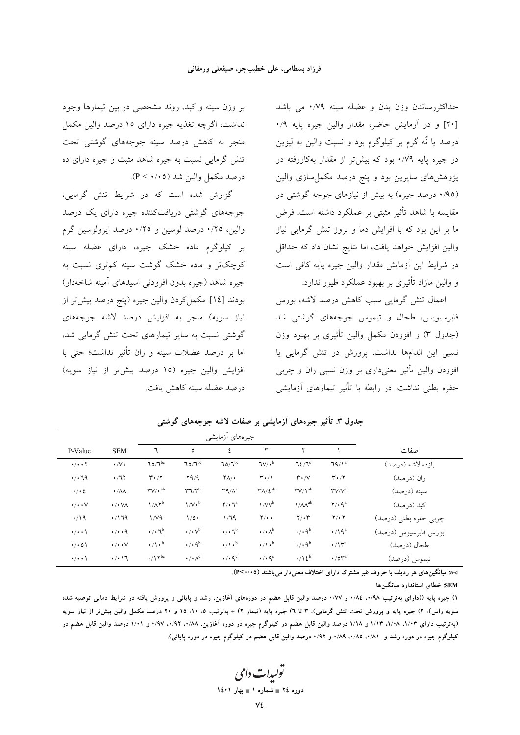حداکثررساندن وزن بدن و عضله سینه ۰/۷۹ می باشد [۲۰] و در آزمایش حاضر، مقدار والین جیره پایه ۰/۹ درصد یا نُه گرم بر کیلوگرم بود و نسبت والین به لیزین در جیره پایه ۰/۷۹ بود که بیشتر از مقدار بهکاررفته در یژوهشهای سایرین بود و پنج درصد مکمل سازی والین (۰/۹۵ درصد جیره) به بیش از نیازهای جوجه گوشتی در مقايسه با شاهد تأثير مثبتي بر عملكرد داشته است. فرض ما بر این بود که با افزایش دما و بروز تنش گرمایی نیاز والین افزایش خواهد یافت، اما نتایج نشان داد که حداقل در شرايط اين آزمايش مقدار والين جيره يايه كافي است و والين مازاد تأثيري بر بهبود عملكرد طيور ندارد.

اعمال تنش گرمایی سبب کاهش درصد لاشه، بورس فابرسیویس، طحال و تیموس جوجههای گوشتی شد (جدول ٣) و افزودن مكمل والين تأثيري بر بهبود وزن نسبی این اندامها نداشت. پرورش در تنش گرمایی یا افزودن والين تأثير معنىداري بر وزن نسبي ران و چربي حفره بطنی نداشت. در رابطه با تأثیر تیمارهای آزمایشی

بر وزن سینه و کبد، روند مشخصی در بین تیمارها وجود نداشت، اگرچه تغذیه جیره دارای ۱۵ درصد والین مکمل منجر به کاهش درصد سینه جوجههای گوشتی تحت تنش گرمایی نسبت به جیره شاهد مثبت و جیره دارای ده درصد مکمل والین شد (P < ۰/۰۵).

گزارش شده است که در شرایط تنش گرمایی، جوجههای گوشتی دریافتکننده جیره دارای یک درصد والین، ١/٢٥ درصد لوسین و ١/٢٥ درصد ایزولوسین گرم بر کیلوگرم ماده خشک جیره، دارای عضله سینه کوچکتر و ماده خشک گوشت سینه کمتری نسبت به جيره شاهد (جيره بدون افزودني اسيدهاي آمينه شاخهدار) بودند [١٤]. مكمل كردن والين جيره (پنج درصد بيش تر از نیاز سویه) منجر به افزایش درصد لاشه جوجههای گوشتی نسبت به سایر تیمارهای تحت تنش گرمایی شد، اما بر درصد عضلات سینه و ران تأثیر نداشت؛ حتی با افزایش والین جیره (۱۵ درصد بیش; از نیاز سویه) درصد عضله سينه كاهش بافت.

|                               |                        |                                                 | جيرههاي أزمايشي                                 |                                                |                                   |                                  |                                        |                       |
|-------------------------------|------------------------|-------------------------------------------------|-------------------------------------------------|------------------------------------------------|-----------------------------------|----------------------------------|----------------------------------------|-----------------------|
| P-Value                       | <b>SEM</b>             | ٦                                               | ٥                                               | ٤                                              | ٣                                 |                                  |                                        | صفات                  |
| $\cdot/\cdot\cdot$ $\Upsilon$ | $\cdot$ /V \           | $70/7^{bc}$                                     | $70/7^{bc}$                                     | 70/T                                           | $\mathcal{N}/\cdot^b$             | 72/7                             | $79/1^a$                               | ىازدە لاشە (درصد)     |
| .79                           | $\cdot$ / $\sqrt{ }$   | $\mathbf{r} \cdot \mathbf{r}$                   | YQ/A                                            | $\mathsf{Y}\Lambda/\bullet$                    | $\mathbf{r} \cdot / \mathbf{1}$   | $\mathbf{r} \cdot \mathbf{v}$    | $\mathbf{r} \cdot \mathbf{r}$          | ران (درصد)            |
| $\cdot$ / $\cdot$ 2           | $\cdot/\lambda\lambda$ | $\mathsf{r}\mathsf{v}/\mathsf{v}^{\mathrm{ab}}$ | $\mathbf{r} \mathbf{1}/\mathbf{r}^{\mathrm{b}}$ | $\mathbf{Y}^{\mathbf{q}}/\Lambda^{\mathbf{a}}$ | $\Upsilon\Lambda/\xi^{ab}$        | $\Upsilon V/\lambda^{ab}$        | $\mathsf{Y} \mathsf{V} / \mathsf{V}^a$ | سينه (درصد)           |
| $\cdot/\cdot\cdot$ $\vee$     | $\cdot$ / $\cdot$ VA   | $1/\Lambda \Upsilon^b$                          | $1/V \cdot b$                                   | $Y/\cdot 7^a$                                  | $1/VV^b$                          | $1/\Lambda\Lambda^{ab}$          | $Y / \cdot 9^a$                        | كبد (درصد)            |
| $\cdot$ /19                   | .719                   | 1/V <sub>9</sub>                                | $1/\circ \cdot$                                 | 1/79                                           | $Y/\cdot$ .                       | $Y/\cdot Y$                      | $Y/\cdot Y$                            | چربی حفره بطنی (درصد) |
| $\cdot/\cdot\cdot$            | $\cdot/\cdot\cdot$ 9   | $\cdot/\cdot 7^b$                               | $\cdot/\cdot\sqrt{d}$                           | $\cdot/\cdot 7^b$                              | $\cdot/\cdot \wedge^{\mathrm{b}}$ | $\cdot$ / $\cdot$ 9 <sup>b</sup> | $\cdot$ /19 <sup>a</sup>               | بورس فابرسيوس (درصد)  |
| $\cdot/\cdot$ 0)              | $\cdot/\cdot\cdot\vee$ | $\cdot/\mathcal{N} \cdot \mathbf{b}$            | $\cdot$ / $\cdot$ 9 <sup>b</sup>                | $\cdot/\lambda$ .                              | $\cdot/\mathcal{L}$               | $\cdot$ / $\cdot$ 9 <sup>b</sup> | $\cdot/\mathcal{V}^a$                  | طحال (درصد)           |
| $\cdot/\cdot\cdot$            | $\cdot/\cdot$ \ \      | $\cdot/\mathrm{11^{bc}}$                        | $\cdot / \cdot \wedge^c$                        | $\cdot$ / $\cdot$ $\mathsf{A}^{\circ}$         | $\cdot$ / $\cdot$ 9 <sup>c</sup>  | $\cdot/\lambda\,i^b$             | $\cdot$ /0 $\mathsf{Y}^{\mathrm{a}}$   | تيموس (درصد)          |

جدول ٣. تأثیر جیرههای آزمایشی بر صفات لاشه جوجههای گوشتی

.a-c: میانگینهای هر ردیف با حروف غیر مشترک دارای اختلاف معنیدار میباشند (٢<٠/٠٥).

SEM: خطای استاندارد میانگینها

۱) جبره پایه ((دارای بهترتیب ۰/۹۸، ۱/۸۶ و ۰/۷۷ درصد والین قابل هضم در دورههای آغازین، رشد و پایانی و پرورش یافته در شرایط دمایی توصیه شده سویه راس)، ۲) جیره پایه و پرورش تحت تنش گرمایی)، ۳ تا ۲) جبره پایه (تیمار ۲) + بهترتیب ۰، ۱۰، ۱۵ و ۲۰ درصد مکمل والین بیش تر از نیاز سویه (بهترتیب دارای ۱/۱۳، ۱/۱۸، ۱/۱۳ و ۱/۱۸ درصد والین قابل هضم در کیلوگرم جیره در دوره آغازین، ۱/۸۸، ۱/۹۲، ۱/۹۷، درصد والین قابل هضم در کیلوگرم جیره در دوره رشد و ۸۱/۰، ۸۵/۰، ۰/۸۹، و ۰/۹۲ درصد والین قابل هضم در کیلوگرم جیره در دوره پایانی).

تو*لیدات دامی* دوره ٢٤ = شماره ١ = بهار ١٤٠١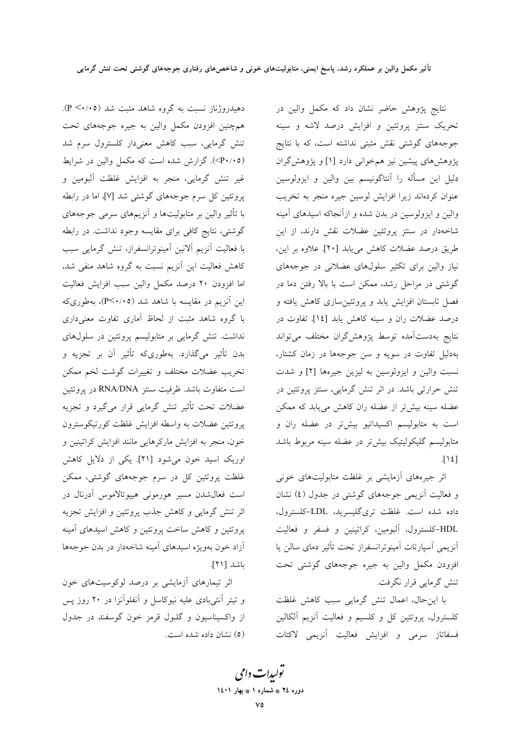دهیدروژناز نسبت به گروه شاهد مثبت شد (۴/۰۵). همچنین افزودن مکمل والین به جیره جوجههای تحت تنش گرمایی، سبب کاهش معنیدار کلسترول سرم شد (P+/+0). گزارش شده است که مکمل والین در شرایط غیر تنش گرمایی، منجر به افزایش غلظت آلبومین و یروتئین کل سرم جوجههای گوشتی شد [۷]، اما در رابطه با تأثیر والین بر متابولیتها و آنزیمهای سرمی جوجههای گوشتی، نتایج کافی برای مقایسه وجود نداشت. در رابطه با فعالیت آنزیم آلانین آمینوترانسفراز، تنش گرمایی سبب کاهش فعالیت این آنزیم نسبت به گروه شاهد منفی شد، اما افزودن ۲۰ درصد مکمل والین سبب افزایش فعالیت این آنزیم در مقایسه با شاهد شد (P<۰/۰۵)، بهطوریکه با گروه شاهد مثبت از لحاظ آماری تفاوت معنیداری نداشت. تنش گرمایی بر متابولیسم پروتئین در سلولهای بدن تأثیر میگذارد. بهطوریکه تأثیر آن بر تجزیه و تخریب عضلات مختلف و تغییرات گوشت لخم ممکن است متفاوت باشد. ظرفیت سنتز RNA/DNA در یروتئین عضلات تحت تأثير تنش گرمايي قرار ميگيرد و تجزيه پروتئين عضلات به واسطه افزايش غلظت كورتيكوسترون خون، منجر به افزایش مارکرهایی مانند افزایش کراتینین و اوریک اسید خون میشود [۲۱]. یکی از دلایل کاهش غلظت پروتئین کل در سرم جوجههای گوشتی، ممکن است فعال شدن مسير هورموني هييوتالاموس أدرنال در اثر تنش گرمایی و کاهش جذب پروتئین و افزایش تجزیه پروتئین و کاهش ساخت پروتئین و کاهش اسیدهای آمینه آزاد خون بهویژه اسیدهای آمینه شاخهدار در بدن جوجهها باشد [۲۱].

اثر تیمارهای آزمایشی بر درصد لوکوسیتهای خون و تيتر أنتي بادي عليه نيوكاسل و أنفلوأنزا در ٢٠ روز پس از واکسیناسیون و گلبول قرمز خون گوسفند در جدول (٥) نشان داده شده است. نتایج پژوهش حاضر نشان داد که مکمل والین در تحریک سنتز پروتئین و افزایش درصد لاشه و سینه جوجههای گوشتی نقش مثبتی نداشته است، که با نتایج پژوهشهای پیشین نیز همخوانی دارد [۱] و پژوهشگران دلیل این مسأله را آنتاگونیسم بین والین و ایزولوسین عنوان كردماند زيرا افزايش لوسين جيره منجر به تخريب والین و ایزولوسین در بدن شده و ازآنجاکه اسیدهای آمینه شاخهدار در سنتز پروتئین عضلات نقش دارند، از این طريق درصد عضلات كاهش مي يابد [٢٠]. علاوه بر اين، نیاز والین برای تکثیر سلولهای عضلانی در جوجههای گوشتی در مراحل رشد، ممکن است با بالا رفتن دما در فصل تابستان افزایش پابد و پروتئین سازی کاهش یافته و درصد عضلات ران و سينه كاهش يابد [١٤]. تفاوت در نتايج بهدستآمده توسط پژوهشگران مختلف مىتواند بهدلیل تفاوت در سویه و سن جوجهها در زمان کشتار، نسبت والین و ایزولوسین به لیزین جیرهها [۲] و شدت تنش حرارتی باشد. در اثر تنش گرمایی، سنتز پروتئین در عضله سینه بیشتر از عضله ران کاهش می یابد که ممکن است به متابولیسم اکسیداتیو بیشتر در عضله ران و متابولیسم گلیکولیتیک بیشتر در عضله سینه مربوط باشد  $\lceil \mathcal{M} \rceil$ 

اثر جیرههای آزمایشی بر غلظت متابولیتهای خونی و فعالیت آنزیمی جوجههای گوشتی در جدول (٤) نشان داده شده است. غلظت ترىگليسريد، LDL-كلسترول، HDL-کلسترول، آلبومین، کراتینین و فسفر و فعالیت أنزيمي أسپارتات أمينوترانسفراز تحت تأثير دماي سالن يا افزودن مكمل والين به جيره جوجههاي گوشتي تحت تنش گرمایی قرار نگرفت.

با این حال، اعمال تنش گرمایی سبب کاهش غلظت کلسترول، پروتئین کل و کلسیم و فعالیت آنزیم آلکالین فسفاتاز سرمى وافزايش فعاليت آنزيمي لاكتات

تولیدات دامی دوره ٢٤ ≡ شماره ١ ≡ بهار ١٤٠١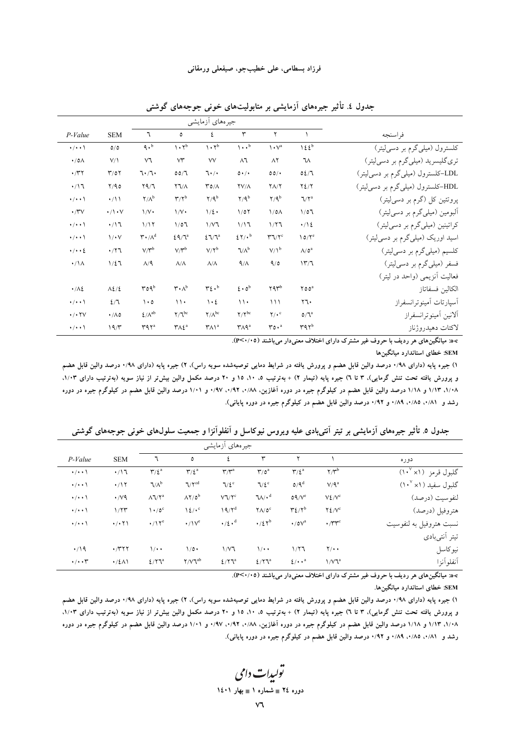|                                     |                      |                                            |                                      | جیر ہہای ازمایشی                          |                                                 |                                     |                                                 |                                                             |
|-------------------------------------|----------------------|--------------------------------------------|--------------------------------------|-------------------------------------------|-------------------------------------------------|-------------------------------------|-------------------------------------------------|-------------------------------------------------------------|
| P-Value                             | <b>SEM</b>           | ٦                                          | ٥                                    | ٤                                         | ٣                                               | ۲                                   |                                                 | فراسنجه                                                     |
| $\cdot/\cdot\cdot$                  | O/O                  | 9.6                                        | $\mathcal{N} \cdot \mathcal{N}^b$    | $\mathcal{N} \cdot \mathcal{N}^{\rm b}$   | $\mathcal{L} \cdot \cdot$ <sup>b</sup>          | $\mathcal{N}^a$                     | 125 <sup>b</sup>                                | کلسترول (میلی گرم بر دسی لیتر)                              |
| $\cdot$ /0 $\wedge$                 | $V/\lambda$          | ٧٦                                         | $\vee\uparrow$                       | ٧V                                        | ۸٦                                              | $\wedge$                            | ٦٨                                              | تری گلیسرید (میلی گرم بر دسیلیتر)                           |
| $\cdot$ /۳۲                         | $\Upsilon/0$         | 7.7.                                       | 00/7                                 | 7.                                        | $0 \cdot / \cdot$                               | 00/                                 | 02/7                                            | LDL-کلسترول (میل <sub>ی</sub> گرم بر دس <sub>می</sub> لیتر) |
| $\cdot/17$                          | Y/90                 | $\Gamma\backslash P$                       | $\Upsilon \Upsilon / \Lambda$        | $\mathsf{r}\circ\wedge$                   | $\frac{1}{2}V/\Lambda$                          | $Y\Lambda/Y$                        | $Y\Sigma/Y$                                     | HDL-کلسترول (میلیگرم بر دسی[لیتر)                           |
| $\cdot/\cdot\cdot$                  | $\cdot/11$           | $\mathbf{Y}/\Lambda^\mathrm{b}$            | $\mathsf{r}/\mathsf{r}^{\mathsf{b}}$ | $Y/9^b$                                   | $Y/9^b$                                         | $Y/9^b$                             | $\sqrt{7}$                                      | پروتئین کل (گرم بر دسیلیتر)                                 |
| $\cdot$ /۳ $\vee$                   | $\cdot/\cdot$ $\vee$ | $\frac{1}{V}$                              | $\frac{1}{V}$                        | $1/\xi$ .                                 | 1/07                                            | $1/0\Lambda$                        | 1/07                                            | آلبومین (میلیگرم بر دسیلیتر)                                |
| $\cdot/\cdot\cdot$                  | $\cdot/17$           | 1/17                                       | 1/07                                 | $1/\nu$ ٦                                 | 1/17                                            | 1/77                                | $\cdot/\sqrt{2}$                                | کراتینین (میلیگرم بر دسیلیتر)                               |
| $\cdot/\cdot\cdot$                  | $1/\cdot V$          | $\mathbf{r} \cdot \mathbf{v}^{\mathrm{d}}$ | $29/7^a$                             | $27/7^a$                                  | 27/16                                           | $\mathbf{r} \mathbf{v}$             | $10/Y^c$                                        | اسید اوریک (میلی گرم بر دسی لیتر)                           |
| $\cdot/\cdot\cdot\}$                | $\cdot$ /۲٦          | $V/Y^b$                                    | $V/Y^b$                              | $V/Y^b$                                   | $V/\Lambda^b$                                   | $V/\Lambda^b$                       | $\Lambda/\mathfrak{0}^a$                        | كلسيم (ميلي گرم بر دسي ليتر)                                |
| $\cdot/\lambda$                     | $1/\xi$              | $\Lambda$ /۹                               | $\Lambda/\Lambda$                    | $\Lambda/\Lambda$                         | 9/1                                             | 9/0                                 | 177                                             | فسفر (میلیگرم بر دسمیلیتر)                                  |
|                                     |                      |                                            |                                      |                                           |                                                 |                                     |                                                 | فعالیت أنزیمی (واحد در لیتر)                                |
| $\cdot/\lambda$                     | $\Lambda$ 2/2        | rogb                                       | $\mathsf{r} \cdot \mathsf{v}_p$      | $r_{\xi}$ .                               | $\epsilon \cdot \delta^b$                       | ۲۹۳                                 | $Y00^a$                                         | الكالين فسفاتاز                                             |
| $\cdot/\cdot\cdot$                  | 2/7                  | $\cdot \circ$                              | $\mathcal{N}$                        | $\cdot$ {                                 | $\mathcal{U}$                                   | 111                                 | ۲٦۰                                             | أسيارتات أمينوترانسفراز                                     |
| $\cdot$ / $\cdot$ $\uparrow$ $\vee$ | $\cdot/\Lambda$ 0    | $\pmb{\xi}/\Lambda^{ab}$                   | $\mathbf{Y}/\mathbf{Y}^{\text{bc}}$  | $\Upsilon/\Lambda^{\rm bc}$               | $\gamma/\gamma^{bc}$                            | $\Upsilon/\cdot$ <sup>c</sup>       | $O/\mathbb{I}^a$                                | ألانين أمينوترانسفراز                                       |
| $\cdot/\cdot\cdot$                  | 19/7                 | $\mathbf{r}$ 97 <sup>a</sup>               | $\mathsf{Y\wedge L}^a$               | $\mathsf{r}\wedge\mathsf{r}^{\mathrm{a}}$ | $\mathsf{r}_\mathsf{A} \mathsf{q}^{\mathrm{a}}$ | $\mathbf{r} \circ \cdot \mathbf{r}$ | $\mathsf{r} \mathsf{q} \mathsf{r}^{\mathsf{b}}$ | لاكتات دهيدروژناز                                           |

جدول ٤. تأثیر جیرههای آزمایشی بر متابولیتهای خونی جوجههای گوشتی

a-c: میانگینهای هر ردیف با حروف غیر مشترک دارای اختلاف معنی دار می باشند (٢<٠/٠٥).

SEM: خطای استاندارد میانگینها

۱) جیره پایه (دارای ۱٬۹۸ درصد والین قابل هضم و پرورش یافته در شرایط دمایی توصیهشده سویه راس). ۲) جیره پایه (دارای ۱٬۹۸ درصد والین قابل هضم و پرورش یافته تحت تنش گرمایی)، ۳ تا ۱) جیره پایه (تیمار ۲) + بهترتیب ۵، ۱۰، ۱۵ و ۲۰ درصد مکمل والین بیش تر از نیاز سویه (بهترتیب دارای ۱/۰۳، ۱/۰۸، ۱/۱۳ و ۱/۱۸ درصد والین قابل هضم در کیلوگرم جیره در دوره آغازین، ۱/۸۸، ۰/۹۲، ۱/۰۷ و ۱/۰۱ درصد والین قابل هضم در کیلوگرم جیره در دوره رشد و ۸۱/۰، ۰/۸۵، ۰/۸۹ و ۰/۹۲ درصد والین قابل هضم در کیلوگرم جیره در دوره پایانی).

|                                 |                                                  |                           |                               | جیرەهای أزمایشی                      |                            |                                      |                                |                    |  |  |  |  |  |  |
|---------------------------------|--------------------------------------------------|---------------------------|-------------------------------|--------------------------------------|----------------------------|--------------------------------------|--------------------------------|--------------------|--|--|--|--|--|--|
| دوره                            |                                                  |                           | ٣                             | ٤                                    | ٥                          | ٦                                    | <b>SEM</b>                     | $P-Value$          |  |  |  |  |  |  |
| گلبول قرمز (۱۰ <sup>۷</sup> ۱۰) | $Y/Y^b$                                          | $\Upsilon/\xi^a$          | $\mathbf{r}/\mathbf{o}^a$     | $\mathbf{r}/\mathbf{r}^{\mathrm{a}}$ | $\Upsilon/\xi^a$           | $\mathbf{r}/\mathbf{r}^{\mathrm{a}}$ | $\cdot/17$                     | $\cdot/\cdot\cdot$ |  |  |  |  |  |  |
| گلبول سفید (۱۰ <sup>۷</sup> ۱۰) | $V/\mathsf{Q}^a$                                 | $O/Q^d$                   | 7/2                           | $7/\xi$ <sup>c</sup>                 | $V^{\text{cd}}$            | $V/\Lambda^b$                        | $\cdot$ /17                    | $\cdot$ / $\cdot$  |  |  |  |  |  |  |
| لنفوسيت (درصد)                  | $V\ell/V^c$                                      | $O(1/\sqrt{c})$           | $7\lambda/\cdot^d$            | $V \Upsilon^c$                       | $\Lambda$ Y/0 <sup>b</sup> | $\Lambda$ $V^a$                      | $\cdot$ /v٩                    | $\cdot/\cdot\cdot$ |  |  |  |  |  |  |
| هتروفيل (درصد)                  | $Y\S$ / $V^c$                                    | $\mathbf{r}$ $\mathbf{r}$ | $\Upsilon \Lambda / \delta^c$ | 19/Y <sup>d</sup>                    | $12/r^c$                   | $\cdot$ /0 <sup>c</sup>              | 1/77                           | $\cdot/\cdot\cdot$ |  |  |  |  |  |  |
| نسبت هتروفیل به لنفوسیت         | $\cdot$ / $\mathsf{r}$ $\mathsf{r}$ $\mathsf{r}$ | $\cdot$ /0 $V^a$          | $\cdot/27^b$                  | $\cdot/2 \cdot d$                    | $\cdot/\mathcal{V}^c$      | $\cdot/\mathrm{M}^{\mathrm{e}}$      | $\cdot$ / $\cdot$ $\uparrow$ \ | $\cdot/\cdot\cdot$ |  |  |  |  |  |  |
| تيتر أنتىبادى                   |                                                  |                           |                               |                                      |                            |                                      |                                |                    |  |  |  |  |  |  |
| نيوكاسل                         | $\Upsilon/\cdot$                                 | 1/77                      | $\sqrt{\cdot \cdot}$          | $1/\nu$                              | $1/\circ \cdot$            | $1/\cdot$                            | $\cdot$ /۳۲۲                   | $\cdot$ /19        |  |  |  |  |  |  |
| أنفلوأنزا                       | 1/VJ <sup>a</sup>                                | $\frac{2}{3}$             | $2/\Upsilon \mathcal{L}^a$    | $2/\Upsilon \mathcal{L}^a$           | $\gamma/\nu \tau^{ab}$     | 2/T <sup>a</sup>                     | $\cdot$ /٤ $\wedge$            | $\cdot/\cdot\cdot$ |  |  |  |  |  |  |

جدول ٥. تأثیر جیرههای آزمایشی بر تیتر آنتیpادی علیه ویروس نیوکاسل و آنفلوآنزا و جمعیت سلولهای خونی جوجههای گوشتی

a-c: میانگینهای هر ردیف با حروف غیر مشترک دارای اختلاف معنیدار می باشند (P<۰/۰۵).

SEM: خطای استاندارد میانگینها.

۱) جیره پایه (دارای ۰/۹۸ درصد والین قابل هضم و پرورش یافته در شرایط دمایی توصیهشده سویه راس)، ۲) جیره پایه (دارای ۸۸/۰ درصد والین قابل هضم و پرورش یافته تحت تنش گرمایی)، ۳ تا ۱) جیره پایه (تیمار ۲) + بهترتیب ۵، ۱۰، ۱۵ و ۲۰ درصد مکمل والین بیش تر از نیاز سویه (بهترتیب دارای ۱/۰۳). ۱/۰۸، ۱/۱۳ و ۱/۱۸ درصد والین قابل هضم در کیلوگرم جیره در دوره آغازین، ۰/۹۸، ۰/۹۲، ۰/۹۷ و ۱/۰۱ درصد والین قابل هضم در کیلوگرم جیره در دوره رشد و ۸۱/۰، ۰/۸۵، ۰/۸۹ و ۰/۹۲ درصد والین قابل هضم در کیلوگرم جیره در دوره پایانی).

تولیدات دامی دوره ٢٤ ∎ شماره ١ ∎ بهار ١٤٠١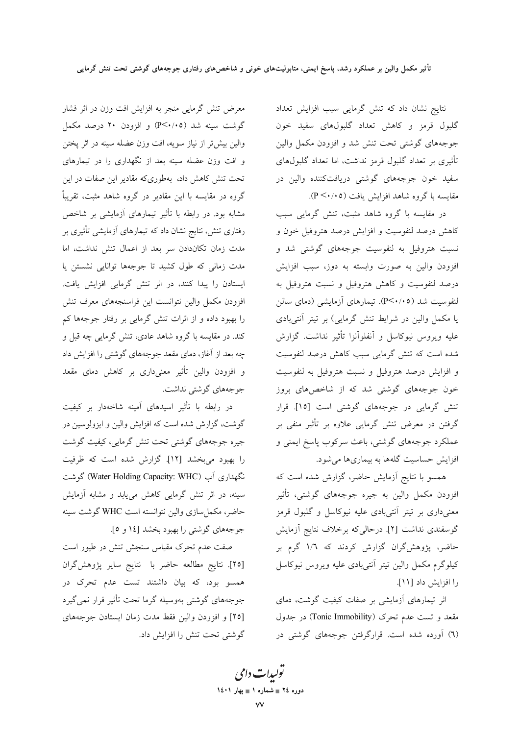نتايج نشان داد كه تنش گرمايي سبب افزايش تعداد گلبول قرمز و کاهش تعداد گلبولهای سفید خون جوجههای گوشتی تحت تنش شد و افزودن مکمل والین تأثیری بر تعداد گلبول قرمز نداشت، اما تعداد گلبولهای سفید خون جوجههای گوشتی دریافتکننده والین در مقايسه با گروه شاهد افزايش يافت (P <٠/٠٥).

در مقایسه با گروه شاهد مثبت، تنش گرمایی سبب کاهش درصد لنفوسیت و افزایش درصد هتروفیل خون و نسبت هتروفیل به لنفوسیت جوجههای گوشتی شد و افزودن والین به صورت وابسته به دوز، سبب افزایش درصد لنفوسیت و کاهش هتروفیل و نسبت هتروفیل به ا<br>لنفوسیت شد (۴٬۰۰۵). تیمارهای آزمایشی (دمای سالن یا مکمل والین در شرایط تنش گرمایی) بر تیتر آنتیبادی علیه ویروس نیوکاسل و آنفلوآنزا تأثیر نداشت. گزارش شده است که تنش گرمایی سبب کاهش درصد لنفوسیت و افزایش درصد هتروفیل و نسبت هتروفیل به لنفوسیت .<br>خون جوجههای گوشتی شد که از شاخصهای بروز تنش گرمایی در جوجههای گوشتی است [۱۵]. قرار گرفتن در معرض تنش گرمایی علاوه بر تأثیر منفی بر عملکرد جوجههای گوشتی، باعث سرکوب پاسخ ایمنی و افزایش حساسیت گلهها به بیماریها میشود.

همسو با نتایج آزمایش حاضر، گزارش شده است که افزودن مكمل والين به جيره جوجههاي گوشتي، تأثير .<br>معنیداری بر تیتر آنتیبادی علیه نیوکاسل و گلبول قرمز گوسفندی نداشت [۲]. درحالی که برخلاف نتایج آزمایش حاضر، پژوهشگران گزارش کردند که ۱/٦ گرم بر كيلوگرم مكمل والين تيتر أنتي بادي عليه ويروس نيوكاسل را افزايش داد [١١].

اثر تیمارهای آزمایشی بر صفات کیفیت گوشت، دمای مقعد و تست عدم تحرک (Tonic Immobility) در جدول (٦) آورده شده است. قرارگرفتن جوجههای گوشتی در

معرض تنش گرمایی منجر به افزایش افت وزن در اثر فشار گوشت سینه شد (P<۰/۰۵) و افزودن ۲۰ درصد مکمل والين بيش تر از نياز سويه، افت وزن عضله سينه در اثر يختن و افت وزن عضله سینه بعد از نگهداری را در تیمارهای تحت تنش کاهش داد، بهطوریکه مقادیر این صفات در این گروه در مقایسه با این مقادیر در گروه شاهد مثبت، تقریباً مشابه بود. در رابطه با تأثیر تیمارهای آزمایشی بر شاخص رفتاری تنش، نتایج نشان داد که تیمارهای اَزمایشی تأثیری بر مدت زمان تکاندادن سر بعد از اعمال تنش نداشت، اما مدت زمانی که طول کشید تا جوجهها توانایی نشستن یا ایستادن را پیدا کنند، در اثر تنش گرمایی افزایش یافت. افزودن مكمل والين نتوانست اين فراسنجههاى معرف تنش را بهبود داده و از اثرات تنش گرمایی بر رفتار جوجهها کم کند. در مقایسه با گروه شاهد عادی، تنش گرمایی چه قبل و چه بعد از آغاز، دمای مقعد جوجههای گوشتی را افزایش داد و افزودن والین تأثیر معنیداری بر کاهش دمای مقعد جو جەھاي گوشتى نداشت.

در رابطه با تأثیر اسیدهای آمینه شاخهدار بر کیفیت گوشت، گزارش شده است که افزایش والین و ایزولوسین در جیره جوجههای گوشتی تحت تنش گرمایی، کیفیت گوشت را بهبود میبخشد [۱۲]. گزارش شده است که ظرفیت نگهداری آب (Water Holding Capacity: WHC) گوشت سینه، در اثر تنش گرمایی کاهش می،یابد و مشابه آزمایش حاضر، مكمل سازي والين نتوانسته است WHC گوشت سينه جو جههای گوشتی را بهبود بخشد [۱٤ و ٥].

صفت عدم تحرک مقیاس سنجش تنش در طیور است [٢٥]. نتايج مطالعه حاضر با نتايج ساير پژوهشگران همسو بود، که بیان داشتند تست عدم تحرک در جوجههای گوشتی بهوسیله گرما تحت تأثیر قرار نمی گیرد [٢٥] و افزودن والين فقط مدت زمان ايستادن جوجههاي گوشتی تحت تنش را افزایش داد.

> تو<sub>لیدا</sub>ت دامی دوره ٢٤ = شماره ١ = بهار ١٤٠١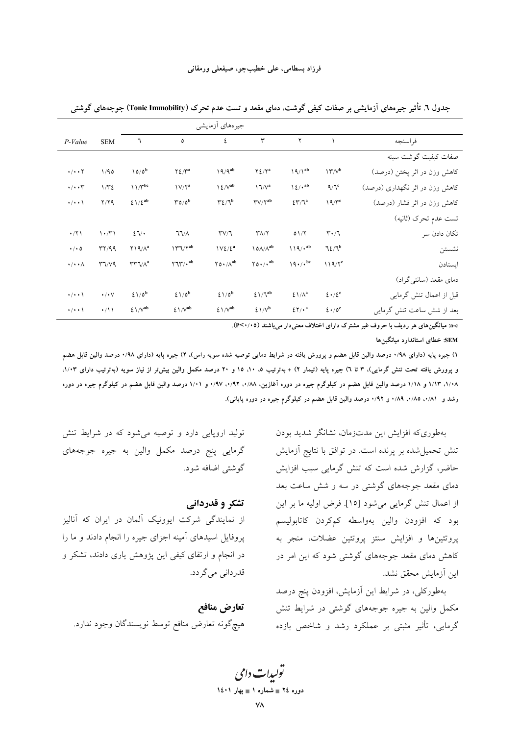|                          |                              |                                               | جیرههای أزمایشی                                       |                                                  |                                         |                                     |                                                   |                                |
|--------------------------|------------------------------|-----------------------------------------------|-------------------------------------------------------|--------------------------------------------------|-----------------------------------------|-------------------------------------|---------------------------------------------------|--------------------------------|
| $P-Value$                | <b>SEM</b>                   | ٦                                             | ٥                                                     | ٤                                                | ٣                                       | ٢                                   |                                                   | فر اسنجه                       |
|                          |                              |                                               |                                                       |                                                  |                                         |                                     |                                                   | صفات كيفيت گوشت سينه           |
| $\cdot/\cdot\cdot\tau$   | 1/90                         | $10/0^b$                                      | $Y\frac{\xi}{\tau}$                                   | $19/9^{ab}$                                      | $Y \frac{\xi}{Y}^a$                     | $19/1^{ab}$                         | $\Upsilon^{\prime\prime}/\Upsilon^{\prime\prime}$ | كاهش وزن در اثر پختن (درصد)    |
| $\cdot/\cdot\cdot$ ۳     | 1/T2                         | $11/\Upsilon^{bc}$                            | $\frac{1}{\sqrt{7}}$                                  | $\frac{\Upsilon}{\Vpsilon}$                      | $\Upsilon \sqrt{v^a}$                   | $\frac{\sqrt{2}}{2}$                | 9/7                                               | کاهش وزن در اثر نگهداری (درصد) |
| $\cdot/\cdot\cdot$       | Y/YQ                         | $\hat{\Sigma}$ \ / $\hat{\Sigma}^{\rm ab}$    | $\mathbf{r}_{0}/\mathbf{0}^{\mathbf{b}}$              | $\mathbf{r} \mathbf{\Omega} \mathbf{r}$          | $\Upsilon V/\Upsilon^{ab}$              | $\S$ <sup>7</sup> / $\mathcal{L}^a$ | $19/T^c$                                          | کاهش وزن در اثر فشار (درصد)    |
|                          |                              |                                               |                                                       |                                                  |                                         |                                     |                                                   | تست عدم تحرك (ثانيه)           |
| $\cdot$ /۲۱              | $\langle \cdot/\tau \rangle$ | 27/                                           | $\lambda\backslash\mathcal{T}$                        | $\Upsilon V/T$                                   | $\Upsilon \wedge / \Upsilon$            | 01/7                                | $\mathsf{r}\cdot\mathsf{n}$                       | تكان دادن سر                   |
| $\cdot$ / $\cdot$ 0      | rr/99                        | $Y$ $\left(\frac{9}{4}\right)$                | $\Upsilon \Upsilon \Upsilon^{\rm ab}$                 | $IVL/L^a$                                        | $\lambda$ 0 $\!\! \Lambda/\Lambda^{ab}$ | $119/$ $\cdot$ ab                   | $72/7^b$                                          | نشستن                          |
| $\cdot/\cdot\cdot\wedge$ | $T\gamma/V9$                 | $\mathsf{r}\mathsf{r}\mathsf{r}$              | $\mathbf{Y}\mathbf{X}'\mathbf{Y}'$ . $^{\mathrm{ab}}$ | $\Upsilon$ 0 $\cdot$ / $\wedge$ <sup>ab</sup>    | $\gamma$ 0./. <sup>ab</sup>             | $19.7 \cdot 10^{6}$                 | $119/Y^c$                                         | ايستادن                        |
|                          |                              |                                               |                                                       |                                                  |                                         |                                     |                                                   | دمای مقعد (سانتی گراد)         |
| $\cdot/\cdot\cdot$       | $\cdot/\cdot\vee$            | $2\lambda/\delta^b$                           | $21/0^b$                                              | $21/0^b$                                         | $2\frac{\lambda}{\lambda^{ab}}$         | $\frac{\epsilon}{\sqrt{2}}$         | $2 \cdot 12^c$                                    | قبل از اعمال تنش گرمایی        |
| $\cdot/\cdot\cdot$       | $\cdot/11$                   | $\mathcal{E} \, \backslash / \mathrm{V}^{ab}$ | $\frac{\Sigma}{\sqrt{2}}$                             | $\mathcal{E} \, \backslash \, / \mathrm{V}^{ab}$ | $\frac{\Sigma}{\sqrt{b}}$               | 27/4                                | $2 \cdot 10^{\circ}$                              | بعد از شش ساعت تنش گرمایی      |

جدول ٦. تأثیر جیرههای آزمایشی بر صفات کیفی گوشت، دمای مقعد و تست عدم تحرک (Tonic Immobility) جوجههای گوشتی

a-c: میانگین های هر ردیف با حروف غیر مشترک دارای اختلاف معنی دار می باشند (P<۰/۰۵).

SEM: خطای استاندارد میانگینها

۱) جبره پایه (دارای ۱۰/۹۸ درصد والین قابل هضم و پرورش یافته در شرایط دمایی توصیه شده سویه راس)، ۲) جبره پایه (دارای ۰/۹۸ درصد والین قابل هضم و پرورش یافته تحت تنش گرمایی)، ۳ تا ۱) جیره پایه (تیمار ۲) + بهترتیب ۵، ۱۰، ۱۵ و ۲۰ درصد مکمل والین بیش تر از نیاز سویه (بهترتیب دارای ۱/۰۳. ۱/۰۸، ۱/۱۳ و ۱/۱۸ درصد والین قابل هضم در کیلوگرم جیره در دوره آغازین، ۰/۹۸، ۰/۹۲، ۰/۹۷ و ۱/۰۱ درصد والین قابل هضم در کیلوگرم جیره در دوره رشد و ۸۱٪۰، ۰/۸۵، ۰/۸۹ و ۰/۹۲ درصد والین قابل هضم در کیلوگرم جیره در دوره پایانی).

> بهطوري كه افزايش اين مدتزمان، نشانگر شديد بودن تنش تحمیل شده بر پرنده است. در توافق با نتایج آزمایش حاضر، گزارش شده است که تنش گرمایی سبب افزایش دمای مقعد جوجههای گوشتی در سه و شش ساعت بعد از اعمال تنش گرمایی می شود [۱۵]. فرض اولیه ما بر این بود که افزودن والین بهواسطه کمکردن کاتابولیسم پروتئینها و افزایش سنتز پروتئین عضلات، منجر به کاهش دمای مقعد جوجههای گوشتی شود که این امر در اين آزمايش محقق نشد.

> بهطوركلي، در شرايط اين آزمايش، افزودن پنج درصد مکمل والین به جیره جوجههای گوشتی در شرایط تنش گرمایی، تأثیر مثبتی بر عملکرد رشد و شاخص بازده

تولید اروپایی دارد و توصیه می شود که در شرایط تنش گرمایی پنج درصد مکمل والین به جیره جوجههای گوشتی اضافه شود.

تشکر و قدردانی از نمایندگی شرکت ایوونیک آلمان در ایران که آنالیز پروفایل اسیدهای آمینه اجزای جیره را انجام دادند و ما را در انجام و ارتقای کیفی این پژوهش یاری دادند، تشکر و قدر دانی می گر دد.

تعارض منافع هيچگونه تعارض منافع توسط نويسندگان وجود ندارد.

تولیدات دا<sup>م</sup>ی دوره ٢٤ = شماره ١ = بهار ١٤٠١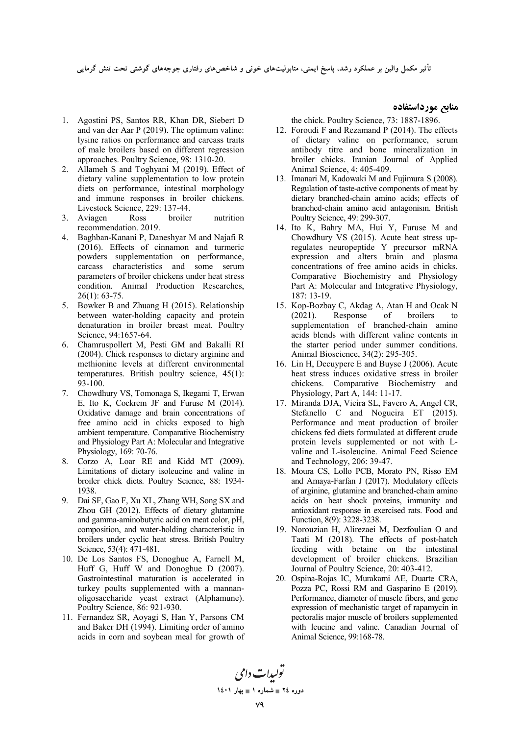ناثیر مکمل والین بر عملکرد رشد، پاسخ ایمنی، متابولیتهای خونی و شاخصهای رفتاری جوجههای گوشتی تحت تنش گرمایی

- 1. Agostini PS, Santos RR, Khan DR, Siebert D and van der Aar P (2019). The optimum valine: lysine ratios on performance and carcass traits of male broilers based on different regression approaches. Poultry Science, 98: 1310-20.
- 2. Allameh S and Toghyani M (2019). Effect of dietary valine supplementation to low protein diets on performance, intestinal morphology and immune responses in broiler chickens. Livestock Science, 229: 137-44.
- 3. Aviagen Ross broiler nutrition recommendation. 2019.
- 4. Baghban-Kanani P, Daneshyar M and Najafi R (2016). Effects of cinnamon and turmeric powders supplementation on performance, carcass characteristics and some serum parameters of broiler chickens under heat stress condition. Animal Production Researches, 26(1): 63-75.
- 5. Bowker B and Zhuang H (2015). Relationship between water-holding capacity and protein denaturation in broiler breast meat. Poultry Science, 94:1657-64.
- 6. Chamruspollert M, Pesti GM and Bakalli RI (2004). Chick responses to dietary arginine and methionine levels at different environmental temperatures. British poultry science, 45(1): 93-100.
- 7. Chowdhury VS, Tomonaga S, Ikegami T, Erwan E, Ito K, Cockrem JF and Furuse M (2014). Oxidative damage and brain concentrations of free amino acid in chicks exposed to high ambient temperature. Comparative Biochemistry and Physiology Part A: Molecular and Integrative Physiology, 169: 70-76.
- 8. Corzo A, Loar RE and Kidd MT (2009). Limitations of dietary isoleucine and valine in broiler chick diets. Poultry Science, 88: 1934- 1938.
- 9. Dai SF, Gao F, Xu XL, Zhang WH, Song SX and Zhou GH (2012). Effects of dietary glutamine and gamma-aminobutyric acid on meat color, pH, composition, and water-holding characteristic in broilers under cyclic heat stress. British Poultry Science, 53(4): 471-481.
- 10. De Los Santos FS, Donoghue A, Farnell M, Huff G, Huff W and Donoghue D (2007). Gastrointestinal maturation is accelerated in turkey poults supplemented with a mannanoligosaccharide yeast extract (Alphamune). Poultry Science, 86: 921-930.
- 11. Fernandez SR, Aoyagi S, Han Y, Parsons CM and Baker DH (1994). Limiting order of amino acids in corn and soybean meal for growth of

the chick. Poultry Science, 73: 1887-1896.

**منابع مورداستفاده** 

- 12. Foroudi F and Rezamand P (2014). The effects of dietary valine on performance, serum antibody titre and bone mineralization in broiler chicks. Iranian Journal of Applied Animal Science, 4: 405-409.
- 13. Imanari M, Kadowaki M and Fujimura S (2008). Regulation of taste-active components of meat by dietary branched-chain amino acids; effects of branched-chain amino acid antagonism. British Poultry Science, 49: 299-307.
- 14. Ito K, Bahry MA, Hui Y, Furuse M and Chowdhury VS (2015). Acute heat stress upregulates neuropeptide Y precursor mRNA expression and alters brain and plasma concentrations of free amino acids in chicks. Comparative Biochemistry and Physiology Part A: Molecular and Integrative Physiology, 187: 13-19.
- 15. Kop-Bozbay C, Akdag A, Atan H and Ocak N (2021). Response of broilers to supplementation of branched-chain amino acids blends with different valine contents in the starter period under summer conditions. Animal Bioscience, 34(2): 295-305.
- 16. Lin H, Decuypere E and Buyse J (2006). Acute heat stress induces oxidative stress in broiler chickens. Comparative Biochemistry and Physiology, Part A, 144: 11-17.
- 17. Miranda DJA, Vieira SL, Favero A, Angel CR, Stefanello C and Nogueira ET (2015). Performance and meat production of broiler chickens fed diets formulated at different crude protein levels supplemented or not with Lvaline and L-isoleucine. Animal Feed Science and Technology, 206: 39-47.
- 18. Moura CS, Lollo PCB, Morato PN, Risso EM and Amaya-Farfan J (2017). Modulatory effects of arginine, glutamine and branched-chain amino acids on heat shock proteins, immunity and antioxidant response in exercised rats. Food and Function, 8(9): 3228-3238.
- 19. Norouzian H, Alirezaei M, Dezfoulian O and Taati M (2018). The effects of post-hatch feeding with betaine on the intestinal development of broiler chickens. Brazilian Journal of Poultry Science, 20: 403-412.
- 20. Ospina-Rojas IC, Murakami AE, Duarte CRA, Pozza PC, Rossi RM and Gasparino E (2019). Performance, diameter of muscle fibers, and gene expression of mechanistic target of rapamycin in pectoralis major muscle of broilers supplemented with leucine and valine. Canadian Journal of Animal Science, 99:168-78.

تولیدات دامی **1401  1 - 24 -**